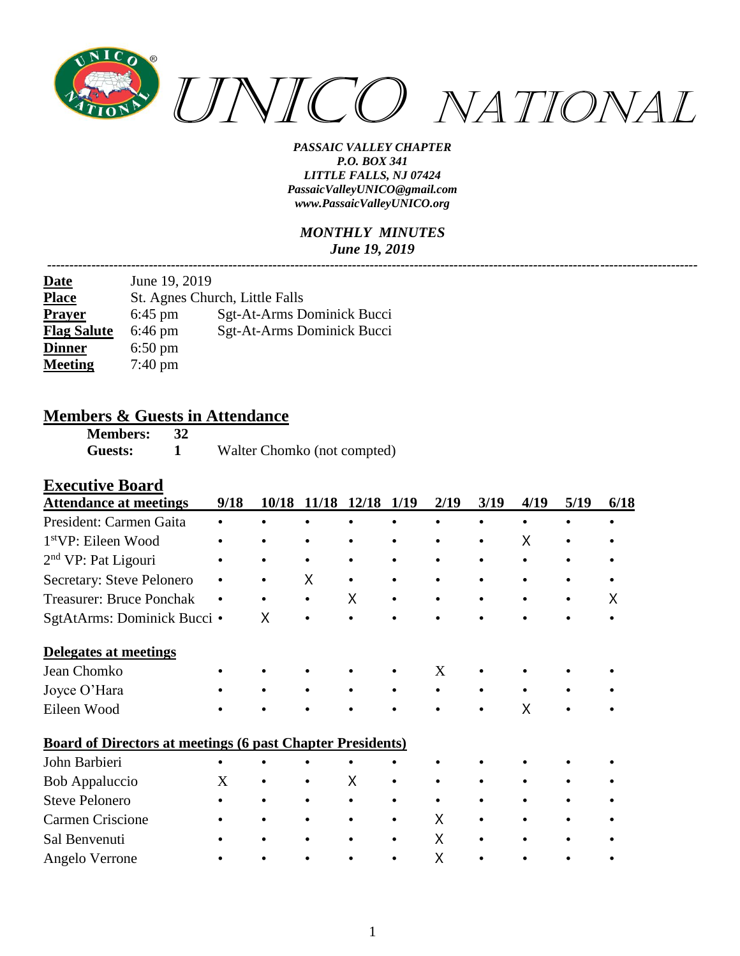

#### *MONTHLY MINUTES June 19, 2019*

*---------------------------------------------------------------------------------------------------------------------------------------------------*

| <b>Date</b>        | June 19, 2019                  |                            |  |  |  |  |  |  |
|--------------------|--------------------------------|----------------------------|--|--|--|--|--|--|
| <b>Place</b>       | St. Agnes Church, Little Falls |                            |  |  |  |  |  |  |
| <b>Prayer</b>      | $6:45$ pm                      | Sgt-At-Arms Dominick Bucci |  |  |  |  |  |  |
| <b>Flag Salute</b> | $6:46 \text{ pm}$              | Sgt-At-Arms Dominick Bucci |  |  |  |  |  |  |
| <b>Dinner</b>      | $6:50 \text{ pm}$              |                            |  |  |  |  |  |  |
| <b>Meeting</b>     | $7:40 \text{ pm}$              |                            |  |  |  |  |  |  |

# **Members & Guests in Attendance**<br>Members: 32

**Members: 32 Guests: 1** Walter Chomko (not compted)

#### **Executive Board**

| <b>Attendance at meetings</b>                                     | 9/18 | 10/18 | 11/18 12/18 |   | 1/19      | 2/19 | 3/19      | 4/19 | 5/19 | 6/18 |
|-------------------------------------------------------------------|------|-------|-------------|---|-----------|------|-----------|------|------|------|
| President: Carmen Gaita                                           |      |       |             |   |           |      |           |      |      |      |
| 1 <sup>st</sup> VP: Eileen Wood                                   |      |       |             |   |           |      |           | Χ    |      |      |
| $2nd$ VP: Pat Ligouri                                             |      |       |             |   |           |      |           |      |      |      |
| Secretary: Steve Pelonero                                         |      |       | X           |   |           |      | $\bullet$ |      |      |      |
| <b>Treasurer: Bruce Ponchak</b>                                   | ٠    |       | $\bullet$   | X |           |      | $\bullet$ |      | ٠    | x    |
| SgtAtArms: Dominick Bucci •                                       |      | X     |             |   | $\bullet$ |      |           |      |      |      |
| Delegates at meetings                                             |      |       |             |   |           |      |           |      |      |      |
| Jean Chomko                                                       |      |       |             |   |           | X    |           |      |      |      |
| Joyce O'Hara                                                      |      |       |             |   |           |      |           |      |      |      |
| Eileen Wood                                                       |      |       |             |   |           |      |           | X    |      |      |
| <b>Board of Directors at meetings (6 past Chapter Presidents)</b> |      |       |             |   |           |      |           |      |      |      |
| John Barbieri                                                     |      |       |             |   |           |      |           |      |      |      |
| Bob Appaluccio                                                    | X    |       |             | X |           |      |           |      |      |      |
| <b>Steve Pelonero</b>                                             |      |       |             |   |           |      |           |      |      |      |
| <b>Carmen Criscione</b>                                           |      |       |             |   |           | X    |           |      |      |      |
| Sal Benvenuti                                                     |      |       |             |   |           | Χ    |           |      |      |      |
| Angelo Verrone                                                    |      |       |             |   |           | Χ    |           |      |      |      |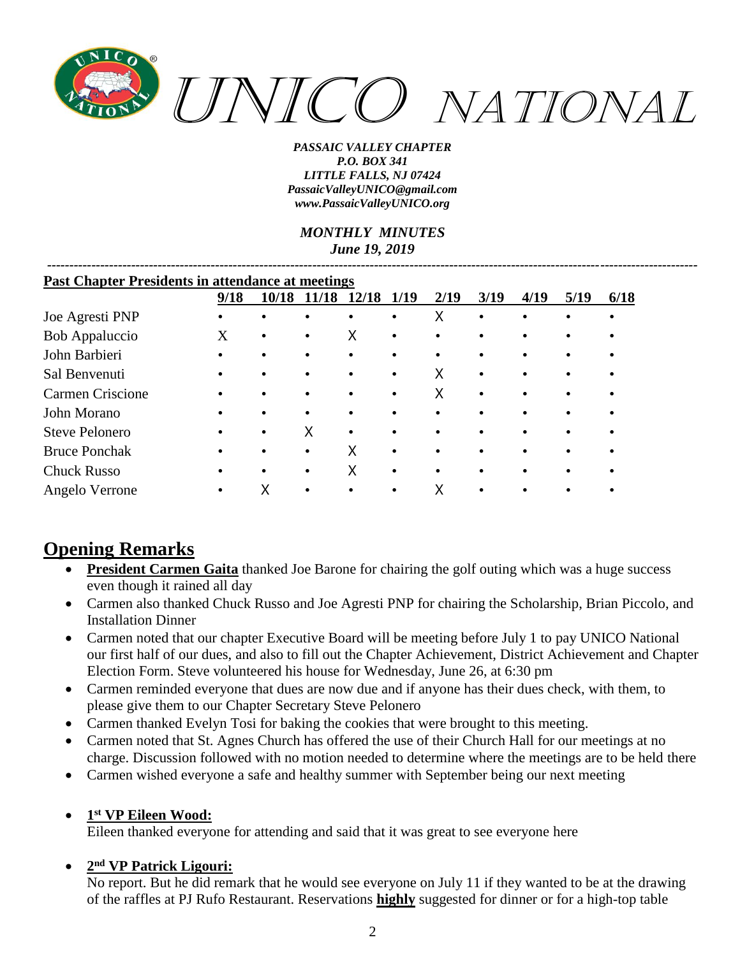

*MONTHLY MINUTES June 19, 2019*

*---------------------------------------------------------------------------------------------------------------------------------------------------*

| <b>Past Chapter Presidents in attendance at meetings</b> |           |           |       |       |             |           |           |      |      |      |
|----------------------------------------------------------|-----------|-----------|-------|-------|-------------|-----------|-----------|------|------|------|
|                                                          | 9/18      | 10/18     | 11/18 | 12/18 | <b>1/19</b> | 2/19      | 3/19      | 4/19 | 5/19 | 6/18 |
| Joe Agresti PNP                                          |           | $\bullet$ |       |       | ٠           | Χ         | $\bullet$ |      |      |      |
| Bob Appaluccio                                           | X         | $\bullet$ |       | X     | ٠           | $\bullet$ |           |      |      |      |
| John Barbieri                                            | $\bullet$ | $\bullet$ |       |       |             | $\bullet$ |           |      |      |      |
| Sal Benvenuti                                            |           | $\bullet$ |       |       | $\bullet$   | x         | $\bullet$ |      |      |      |
| Carmen Criscione                                         |           | $\bullet$ |       |       | $\bullet$   | X         | $\bullet$ |      |      |      |
| John Morano                                              |           | $\bullet$ |       |       | $\bullet$   | $\bullet$ |           |      |      |      |
| <b>Steve Pelonero</b>                                    |           | $\bullet$ | Χ     |       |             | $\bullet$ |           |      |      |      |
| <b>Bruce Ponchak</b>                                     | $\bullet$ | $\bullet$ |       | X     | $\bullet$   | $\bullet$ |           |      |      |      |
| <b>Chuck Russo</b>                                       | $\bullet$ | $\bullet$ |       | X     | $\bullet$   | $\bullet$ |           |      |      |      |
| Angelo Verrone                                           |           |           |       |       |             |           |           |      |      |      |

# **Opening Remarks**

- **President Carmen Gaita** thanked Joe Barone for chairing the golf outing which was a huge success even though it rained all day
- Carmen also thanked Chuck Russo and Joe Agresti PNP for chairing the Scholarship, Brian Piccolo, and Installation Dinner
- Carmen noted that our chapter Executive Board will be meeting before July 1 to pay UNICO National our first half of our dues, and also to fill out the Chapter Achievement, District Achievement and Chapter Election Form. Steve volunteered his house for Wednesday, June 26, at 6:30 pm
- Carmen reminded everyone that dues are now due and if anyone has their dues check, with them, to please give them to our Chapter Secretary Steve Pelonero
- Carmen thanked Evelyn Tosi for baking the cookies that were brought to this meeting.
- Carmen noted that St. Agnes Church has offered the use of their Church Hall for our meetings at no charge. Discussion followed with no motion needed to determine where the meetings are to be held there
- Carmen wished everyone a safe and healthy summer with September being our next meeting
- **1 st VP Eileen Wood:**

Eileen thanked everyone for attending and said that it was great to see everyone here

#### • **2 nd VP Patrick Ligouri:**

No report. But he did remark that he would see everyone on July 11 if they wanted to be at the drawing of the raffles at PJ Rufo Restaurant. Reservations **highly** suggested for dinner or for a high-top table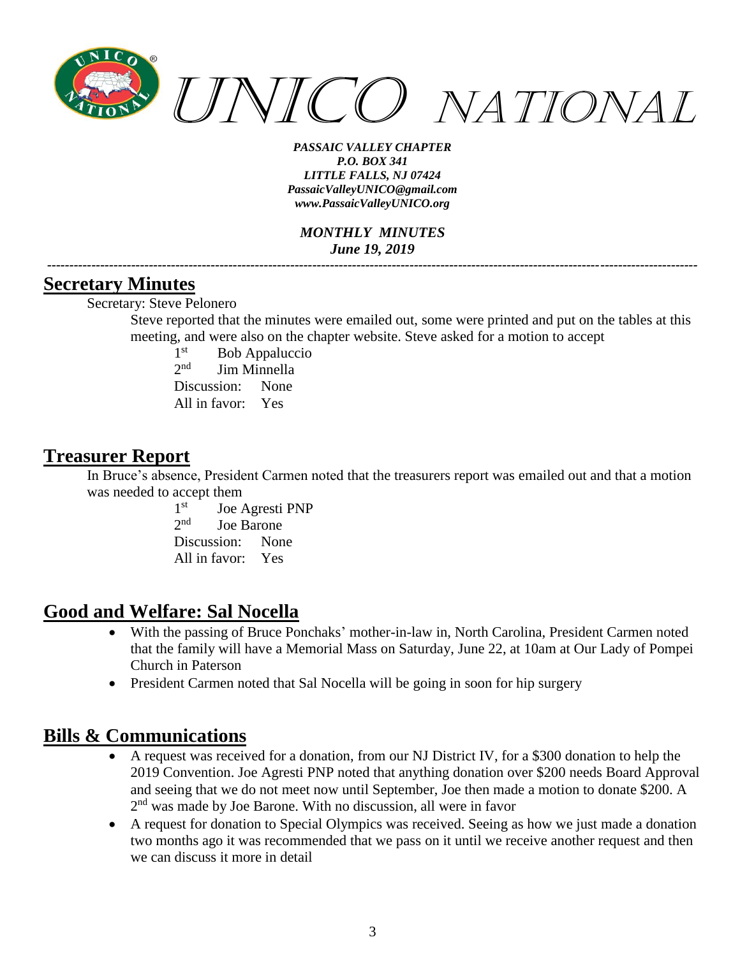

*MONTHLY MINUTES June 19, 2019*

*---------------------------------------------------------------------------------------------------------------------------------------------------*

#### **Secretary Minutes**

Secretary: Steve Pelonero

Steve reported that the minutes were emailed out, some were printed and put on the tables at this meeting, and were also on the chapter website. Steve asked for a motion to accept

 $1<sup>st</sup>$ Bob Appaluccio  $2<sub>nd</sub>$ Jim Minnella Discussion: None All in favor: Yes

### **Treasurer Report**

In Bruce's absence, President Carmen noted that the treasurers report was emailed out and that a motion was needed to accept them

> $1<sup>st</sup>$ Joe Agresti PNP  $2<sub>nd</sub>$ Joe Barone Discussion: None All in favor: Yes

## **Good and Welfare: Sal Nocella**

- With the passing of Bruce Ponchaks' mother-in-law in, North Carolina, President Carmen noted that the family will have a Memorial Mass on Saturday, June 22, at 10am at Our Lady of Pompei Church in Paterson
- President Carmen noted that Sal Nocella will be going in soon for hip surgery

## **Bills & Communications**

- A request was received for a donation, from our NJ District IV, for a \$300 donation to help the 2019 Convention. Joe Agresti PNP noted that anything donation over \$200 needs Board Approval and seeing that we do not meet now until September, Joe then made a motion to donate \$200. A 2<sup>nd</sup> was made by Joe Barone. With no discussion, all were in favor
- A request for donation to Special Olympics was received. Seeing as how we just made a donation two months ago it was recommended that we pass on it until we receive another request and then we can discuss it more in detail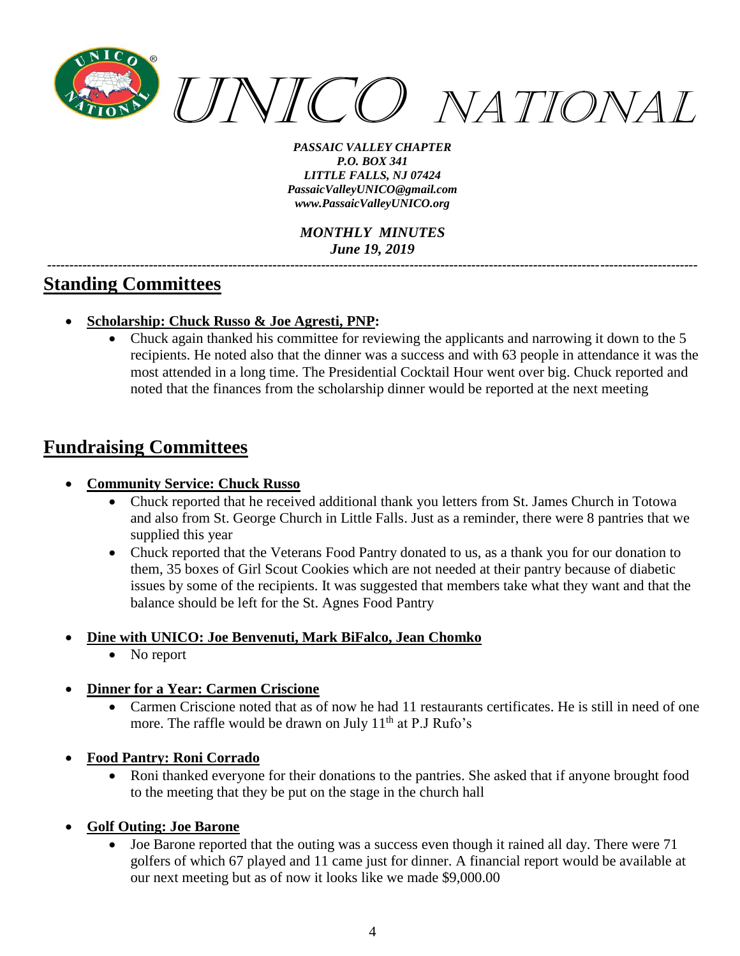

*MONTHLY MINUTES June 19, 2019*

## **Standing Committees**

- **Scholarship: Chuck Russo & Joe Agresti, PNP:**
	- Chuck again thanked his committee for reviewing the applicants and narrowing it down to the 5 recipients. He noted also that the dinner was a success and with 63 people in attendance it was the most attended in a long time. The Presidential Cocktail Hour went over big. Chuck reported and noted that the finances from the scholarship dinner would be reported at the next meeting

*---------------------------------------------------------------------------------------------------------------------------------------------------*

# **Fundraising Committees**

- **Community Service: Chuck Russo**
	- Chuck reported that he received additional thank you letters from St. James Church in Totowa and also from St. George Church in Little Falls. Just as a reminder, there were 8 pantries that we supplied this year
	- Chuck reported that the Veterans Food Pantry donated to us, as a thank you for our donation to them, 35 boxes of Girl Scout Cookies which are not needed at their pantry because of diabetic issues by some of the recipients. It was suggested that members take what they want and that the balance should be left for the St. Agnes Food Pantry

#### • **Dine with UNICO: Joe Benvenuti, Mark BiFalco, Jean Chomko**

- No report
- **Dinner for a Year: Carmen Criscione**
	- Carmen Criscione noted that as of now he had 11 restaurants certificates. He is still in need of one more. The raffle would be drawn on July 11<sup>th</sup> at P.J Rufo's
- **Food Pantry: Roni Corrado** 
	- Roni thanked everyone for their donations to the pantries. She asked that if anyone brought food to the meeting that they be put on the stage in the church hall
- **Golf Outing: Joe Barone**
	- Joe Barone reported that the outing was a success even though it rained all day. There were 71 golfers of which 67 played and 11 came just for dinner. A financial report would be available at our next meeting but as of now it looks like we made \$9,000.00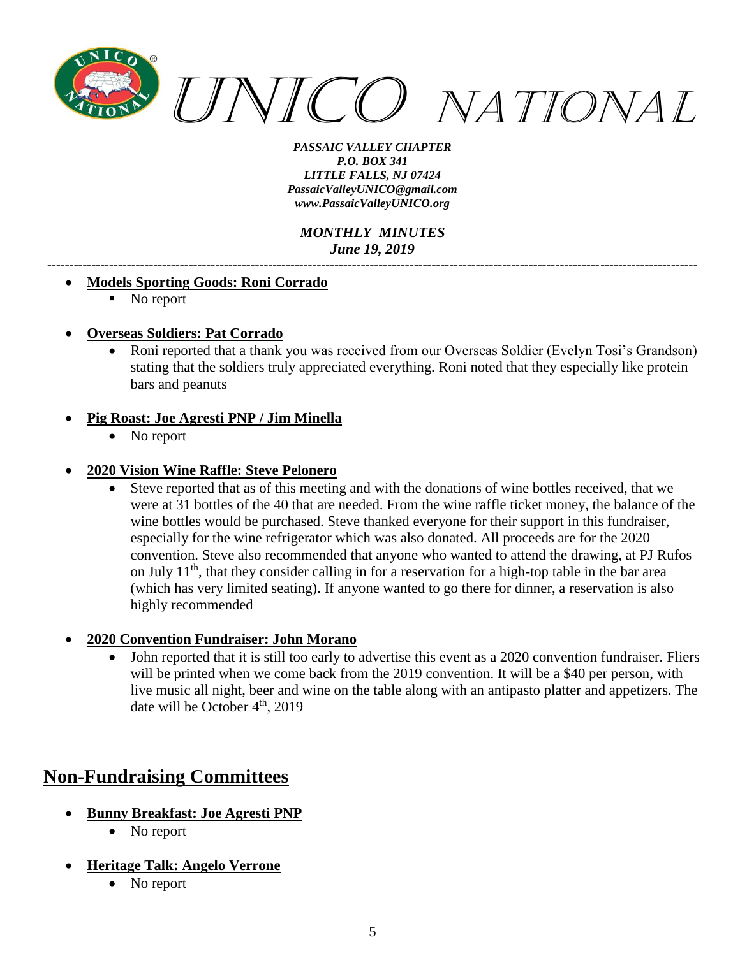

*MONTHLY MINUTES June 19, 2019*

*---------------------------------------------------------------------------------------------------------------------------------------------------*

#### • **Models Sporting Goods: Roni Corrado**

- No report
- **Overseas Soldiers: Pat Corrado**
	- Roni reported that a thank you was received from our Overseas Soldier (Evelyn Tosi's Grandson) stating that the soldiers truly appreciated everything. Roni noted that they especially like protein bars and peanuts

#### • **Pig Roast: Joe Agresti PNP / Jim Minella**

• No report

#### • **2020 Vision Wine Raffle: Steve Pelonero**

- Steve reported that as of this meeting and with the donations of wine bottles received, that we were at 31 bottles of the 40 that are needed. From the wine raffle ticket money, the balance of the wine bottles would be purchased. Steve thanked everyone for their support in this fundraiser, especially for the wine refrigerator which was also donated. All proceeds are for the 2020 convention. Steve also recommended that anyone who wanted to attend the drawing, at PJ Rufos on July 11<sup>th</sup>, that they consider calling in for a reservation for a high-top table in the bar area (which has very limited seating). If anyone wanted to go there for dinner, a reservation is also highly recommended
- **2020 Convention Fundraiser: John Morano**
	- John reported that it is still too early to advertise this event as a 2020 convention fundraiser. Fliers will be printed when we come back from the 2019 convention. It will be a \$40 per person, with live music all night, beer and wine on the table along with an antipasto platter and appetizers. The date will be October  $4<sup>th</sup>$ , 2019

# **Non-Fundraising Committees**

- **Bunny Breakfast: Joe Agresti PNP**
	- No report
- **Heritage Talk: Angelo Verrone**
	- No report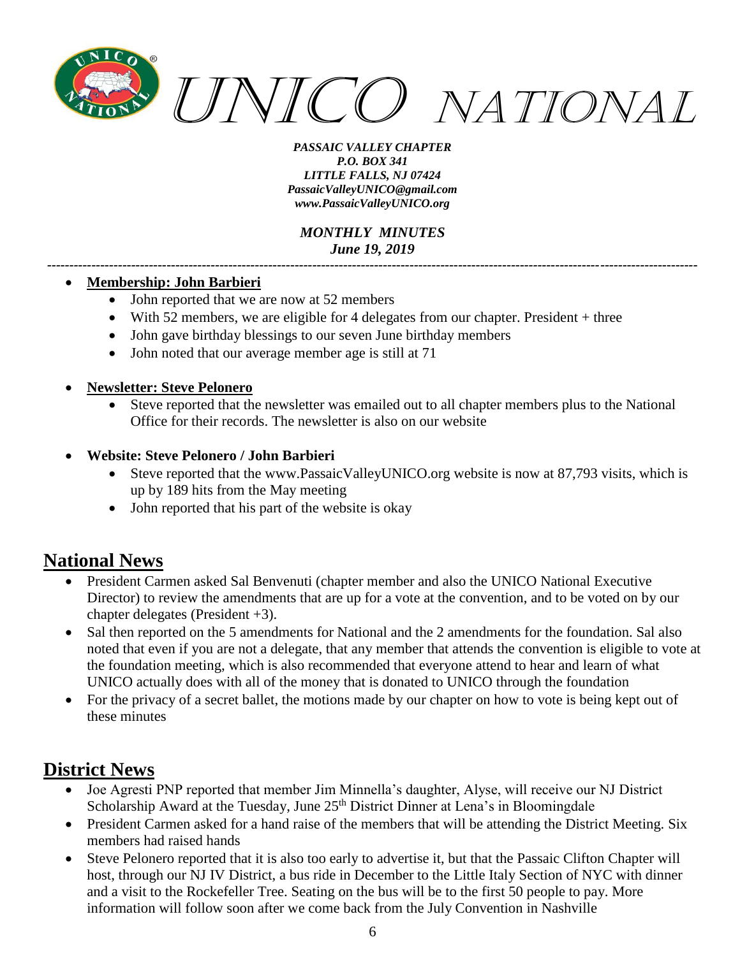

*MONTHLY MINUTES June 19, 2019*

*---------------------------------------------------------------------------------------------------------------------------------------------------*

#### • **Membership: John Barbieri**

- John reported that we are now at 52 members
- With 52 members, we are eligible for 4 delegates from our chapter. President + three
- John gave birthday blessings to our seven June birthday members
- John noted that our average member age is still at 71

#### • **Newsletter: Steve Pelonero**

- Steve reported that the newsletter was emailed out to all chapter members plus to the National Office for their records. The newsletter is also on our website
- **Website: Steve Pelonero / John Barbieri**
	- Steve reported that the [www.PassaicValleyUNICO.org](http://www.passaicvalleyunico.org/) website is now at 87,793 visits, which is up by 189 hits from the May meeting
	- John reported that his part of the website is okay

# **National News**

- President Carmen asked Sal Benvenuti (chapter member and also the UNICO National Executive Director) to review the amendments that are up for a vote at the convention, and to be voted on by our chapter delegates (President +3).
- Sal then reported on the 5 amendments for National and the 2 amendments for the foundation. Sal also noted that even if you are not a delegate, that any member that attends the convention is eligible to vote at the foundation meeting, which is also recommended that everyone attend to hear and learn of what UNICO actually does with all of the money that is donated to UNICO through the foundation
- For the privacy of a secret ballet, the motions made by our chapter on how to vote is being kept out of these minutes

# **District News**

- Joe Agresti PNP reported that member Jim Minnella's daughter, Alyse, will receive our NJ District Scholarship Award at the Tuesday, June 25<sup>th</sup> District Dinner at Lena's in Bloomingdale
- President Carmen asked for a hand raise of the members that will be attending the District Meeting. Six members had raised hands
- Steve Pelonero reported that it is also too early to advertise it, but that the Passaic Clifton Chapter will host, through our NJ IV District, a bus ride in December to the Little Italy Section of NYC with dinner and a visit to the Rockefeller Tree. Seating on the bus will be to the first 50 people to pay. More information will follow soon after we come back from the July Convention in Nashville